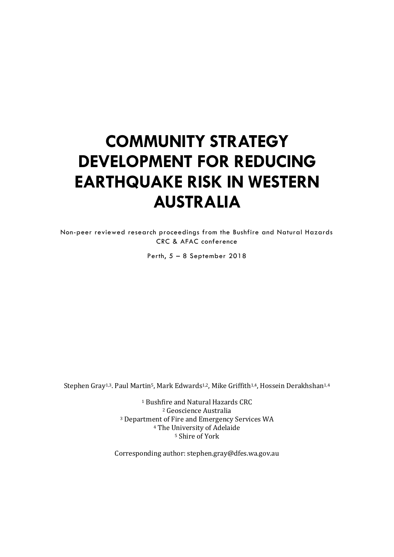# **COMMUNITY STRATEGY DEVELOPMENT FOR REDUCING EARTHQUAKE RISK IN WESTERN AUSTRALIA**

Non-peer reviewed research proceedings from the Bushfire and Natural Hazards CRC & AFAC conference

Perth, 5 – 8 September 2018

Stephen Gray<sup>1,3</sup>. Paul Martin<sup>5</sup>, Mark Edwards<sup>1,2</sup>, Mike Griffith<sup>1,4</sup>, Hossein Derakhshan<sup>1,4</sup>

 Bushfire and Natural Hazards CRC Geoscience Australia Department of Fire and Emergency Services WA The University of Adelaide Shire of York

Corresponding author: stephen.gray@dfes.wa.gov.au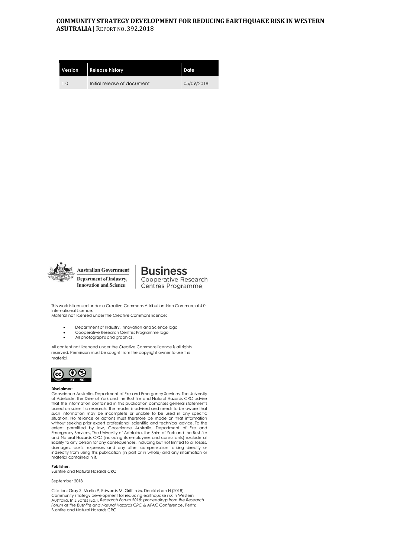## **COMMUNITY STRATEGY DEVELOPMENT FOR REDUCING EARTHQUAKE RISK IN WESTERN ASUTRALIA** | REPORT NO. 392.2018

| Version | <b>Release history</b>      | Date       |
|---------|-----------------------------|------------|
| 1.0     | Initial release of document | 05/09/2018 |



**Business Cooperative Research** Centres Programme

This work is licensed under a Creative Commons Attribution-Non Commercial 4.0 International Licence.

Material not licensed under the Creative Commons licence:

- Department of Industry, Innovation and Science logo • Cooperative Research Centres Programme logo
- All photographs and graphics.

All content not licenced under the Creative Commons licence is all rights reserved. Permission must be sought from the copyright owner to use this material.



#### **Disclaimer:**

Geoscience Australia, Department of Fire and Emergency Services, The University of Adelaide, the Shire of York and the Bushfire and Natural Hazards CRC advise that the information contained in this publication comprises general statements based on scientific research. The reader is advised and needs to be aware that such information may be incomplete or unable to be used in any specific situation. No reliance or actions must therefore be made on that information without seeking prior expert professional, scientific and technical advice. To the extent permitted by law, Geoscience Australia, Department of Fire and<br>EmergencyServices,The University of Adelaide,the Shire of York and the Bushfire<br>and Natural Hazards CRC (including its employees and consultants) exclud liability to any person for any consequences, including but not limited to all losses, damages, costs, expenses and any other compensation, arising directly or indirectly from using this publication (in part or in whole) and any information or material contained in it.

#### **Publisher:**

Bushfire and Natural Hazards CRC

## September 2018

Citation: Gray S, Martin P, Edwards M, Griffith M, Derakhshan H (2018). Community strategy development for reducing earthquake risk in Western<br>Australia. In J.Bates (Ed.), Research Forum 2018: proceedings from the Research<br>Forum at the Bushfire and Natural Hazards CRC & AFAC Conference, Perth: Bushfire and Natural Hazards CRC.